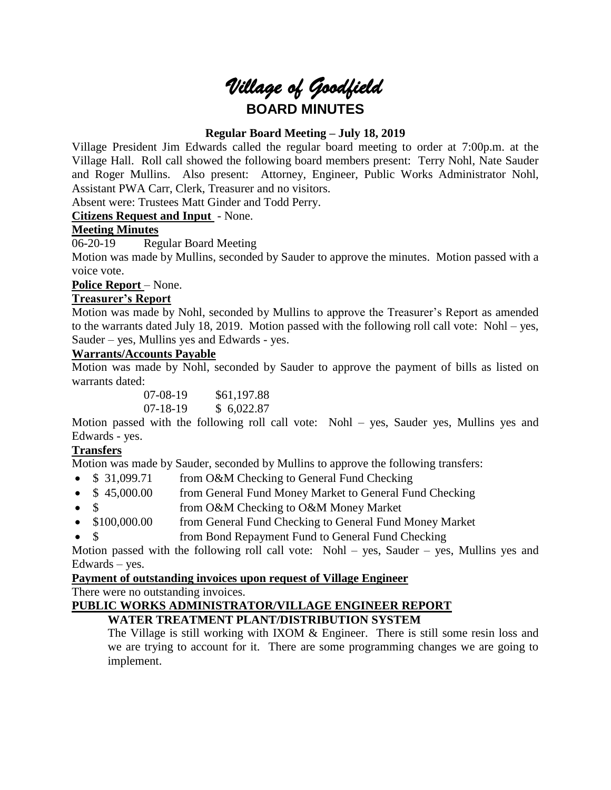# *Village of Goodfield* **BOARD MINUTES**

# **Regular Board Meeting – July 18, 2019**

Village President Jim Edwards called the regular board meeting to order at 7:00p.m. at the Village Hall. Roll call showed the following board members present: Terry Nohl, Nate Sauder and Roger Mullins. Also present: Attorney, Engineer, Public Works Administrator Nohl, Assistant PWA Carr, Clerk, Treasurer and no visitors.

Absent were: Trustees Matt Ginder and Todd Perry.

**Citizens Request and Input** - None.

# **Meeting Minutes**

06-20-19 Regular Board Meeting

Motion was made by Mullins, seconded by Sauder to approve the minutes. Motion passed with a voice vote.

# Police Report – None.

# **Treasurer's Report**

Motion was made by Nohl, seconded by Mullins to approve the Treasurer's Report as amended to the warrants dated July 18, 2019. Motion passed with the following roll call vote: Nohl – yes, Sauder – yes, Mullins yes and Edwards - yes.

# **Warrants/Accounts Payable**

Motion was made by Nohl, seconded by Sauder to approve the payment of bills as listed on warrants dated:

> 07-08-19 \$61,197.88 07-18-19 \$ 6,022.87

Motion passed with the following roll call vote: Nohl – yes, Sauder yes, Mullins yes and Edwards - yes.

# **Transfers**

Motion was made by Sauder, seconded by Mullins to approve the following transfers:

- \$ 31,099.71 from O&M Checking to General Fund Checking
- \$45,000.00 from General Fund Money Market to General Fund Checking
- \$ from O&M Checking to O&M Money Market
- \$100,000.00 from General Fund Checking to General Fund Money Market
- \$ from Bond Repayment Fund to General Fund Checking

Motion passed with the following roll call vote: Nohl – yes, Sauder – yes, Mullins yes and Edwards – yes.

# **Payment of outstanding invoices upon request of Village Engineer**

There were no outstanding invoices.

# **PUBLIC WORKS ADMINISTRATOR/VILLAGE ENGINEER REPORT**

# **WATER TREATMENT PLANT/DISTRIBUTION SYSTEM**

The Village is still working with IXOM & Engineer. There is still some resin loss and we are trying to account for it. There are some programming changes we are going to implement.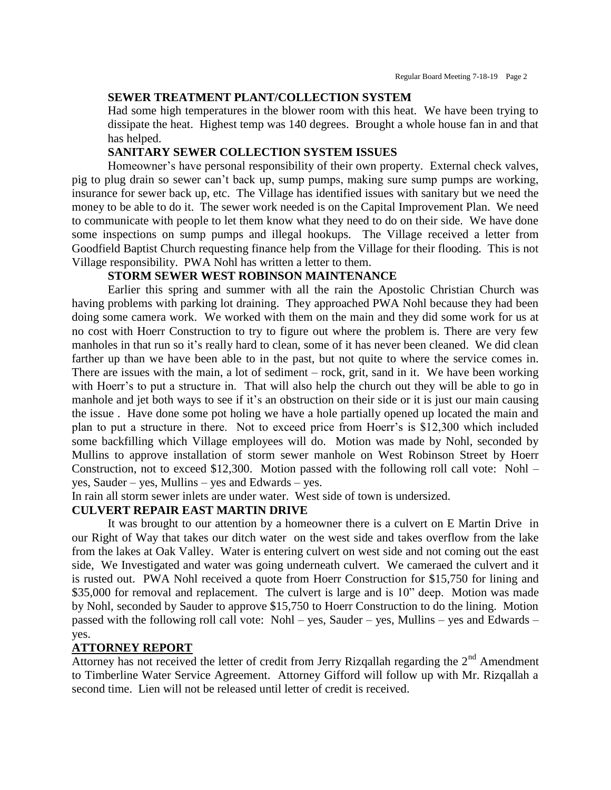#### **SEWER TREATMENT PLANT/COLLECTION SYSTEM**

Had some high temperatures in the blower room with this heat. We have been trying to dissipate the heat. Highest temp was 140 degrees. Brought a whole house fan in and that has helped.

## **SANITARY SEWER COLLECTION SYSTEM ISSUES**

Homeowner's have personal responsibility of their own property. External check valves, pig to plug drain so sewer can't back up, sump pumps, making sure sump pumps are working, insurance for sewer back up, etc. The Village has identified issues with sanitary but we need the money to be able to do it. The sewer work needed is on the Capital Improvement Plan. We need to communicate with people to let them know what they need to do on their side. We have done some inspections on sump pumps and illegal hookups. The Village received a letter from Goodfield Baptist Church requesting finance help from the Village for their flooding. This is not Village responsibility. PWA Nohl has written a letter to them.

## **STORM SEWER WEST ROBINSON MAINTENANCE**

Earlier this spring and summer with all the rain the Apostolic Christian Church was having problems with parking lot draining. They approached PWA Nohl because they had been doing some camera work. We worked with them on the main and they did some work for us at no cost with Hoerr Construction to try to figure out where the problem is. There are very few manholes in that run so it's really hard to clean, some of it has never been cleaned. We did clean farther up than we have been able to in the past, but not quite to where the service comes in. There are issues with the main, a lot of sediment – rock, grit, sand in it. We have been working with Hoerr's to put a structure in. That will also help the church out they will be able to go in manhole and jet both ways to see if it's an obstruction on their side or it is just our main causing the issue . Have done some pot holing we have a hole partially opened up located the main and plan to put a structure in there. Not to exceed price from Hoerr's is \$12,300 which included some backfilling which Village employees will do. Motion was made by Nohl, seconded by Mullins to approve installation of storm sewer manhole on West Robinson Street by Hoerr Construction, not to exceed \$12,300. Motion passed with the following roll call vote: Nohl – yes, Sauder – yes, Mullins – yes and Edwards – yes.

In rain all storm sewer inlets are under water. West side of town is undersized.

## **CULVERT REPAIR EAST MARTIN DRIVE**

It was brought to our attention by a homeowner there is a culvert on E Martin Drive in our Right of Way that takes our ditch water on the west side and takes overflow from the lake from the lakes at Oak Valley. Water is entering culvert on west side and not coming out the east side, We Investigated and water was going underneath culvert. We cameraed the culvert and it is rusted out. PWA Nohl received a quote from Hoerr Construction for \$15,750 for lining and \$35,000 for removal and replacement. The culvert is large and is 10" deep. Motion was made by Nohl, seconded by Sauder to approve \$15,750 to Hoerr Construction to do the lining. Motion passed with the following roll call vote: Nohl – yes, Sauder – yes, Mullins – yes and Edwards – yes.

#### **ATTORNEY REPORT**

Attorney has not received the letter of credit from Jerry Rizqallah regarding the  $2<sup>nd</sup>$  Amendment to Timberline Water Service Agreement. Attorney Gifford will follow up with Mr. Rizqallah a second time. Lien will not be released until letter of credit is received.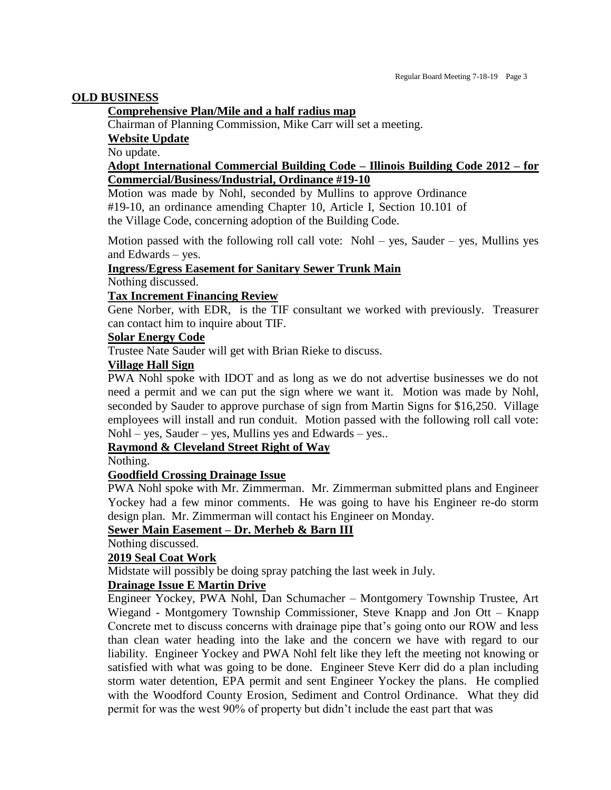## **OLD BUSINESS**

## **Comprehensive Plan/Mile and a half radius map**

Chairman of Planning Commission, Mike Carr will set a meeting.

**Website Update**

No update.

## **Adopt International Commercial Building Code – Illinois Building Code 2012 – for Commercial/Business/Industrial, Ordinance #19-10**

Motion was made by Nohl, seconded by Mullins to approve Ordinance #19-10, an ordinance amending Chapter 10, Article I, Section 10.101 of the Village Code, concerning adoption of the Building Code.

Motion passed with the following roll call vote:  $Nohl - yes$ , Sauder – yes, Mullins yes and Edwards – yes.

## **Ingress/Egress Easement for Sanitary Sewer Trunk Main**

Nothing discussed.

# **Tax Increment Financing Review**

Gene Norber, with EDR, is the TIF consultant we worked with previously. Treasurer can contact him to inquire about TIF.

## **Solar Energy Code**

Trustee Nate Sauder will get with Brian Rieke to discuss.

# **Village Hall Sign**

PWA Nohl spoke with IDOT and as long as we do not advertise businesses we do not need a permit and we can put the sign where we want it. Motion was made by Nohl, seconded by Sauder to approve purchase of sign from Martin Signs for \$16,250. Village employees will install and run conduit. Motion passed with the following roll call vote: Nohl – yes, Sauder – yes, Mullins yes and Edwards – yes..

# **Raymond & Cleveland Street Right of Way**

Nothing.

#### **Goodfield Crossing Drainage Issue**

PWA Nohl spoke with Mr. Zimmerman. Mr. Zimmerman submitted plans and Engineer Yockey had a few minor comments. He was going to have his Engineer re-do storm design plan. Mr. Zimmerman will contact his Engineer on Monday.

# **Sewer Main Easement – Dr. Merheb & Barn III**

Nothing discussed.

# **2019 Seal Coat Work**

Midstate will possibly be doing spray patching the last week in July.

#### **Drainage Issue E Martin Drive**

Engineer Yockey, PWA Nohl, Dan Schumacher – Montgomery Township Trustee, Art Wiegand - Montgomery Township Commissioner, Steve Knapp and Jon Ott – Knapp Concrete met to discuss concerns with drainage pipe that's going onto our ROW and less than clean water heading into the lake and the concern we have with regard to our liability. Engineer Yockey and PWA Nohl felt like they left the meeting not knowing or satisfied with what was going to be done. Engineer Steve Kerr did do a plan including storm water detention, EPA permit and sent Engineer Yockey the plans. He complied with the Woodford County Erosion, Sediment and Control Ordinance. What they did permit for was the west 90% of property but didn't include the east part that was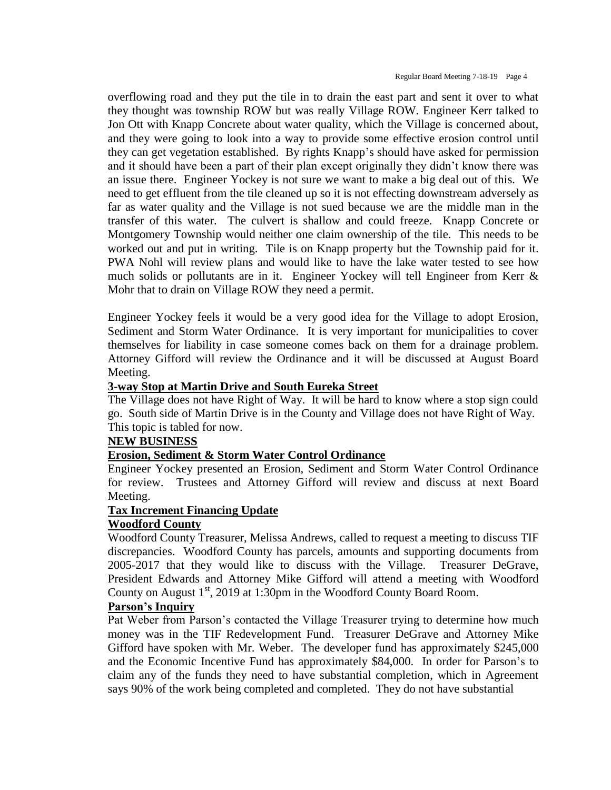overflowing road and they put the tile in to drain the east part and sent it over to what they thought was township ROW but was really Village ROW. Engineer Kerr talked to Jon Ott with Knapp Concrete about water quality, which the Village is concerned about, and they were going to look into a way to provide some effective erosion control until they can get vegetation established. By rights Knapp's should have asked for permission and it should have been a part of their plan except originally they didn't know there was an issue there. Engineer Yockey is not sure we want to make a big deal out of this. We need to get effluent from the tile cleaned up so it is not effecting downstream adversely as far as water quality and the Village is not sued because we are the middle man in the transfer of this water. The culvert is shallow and could freeze. Knapp Concrete or Montgomery Township would neither one claim ownership of the tile. This needs to be worked out and put in writing. Tile is on Knapp property but the Township paid for it. PWA Nohl will review plans and would like to have the lake water tested to see how much solids or pollutants are in it. Engineer Yockey will tell Engineer from Kerr & Mohr that to drain on Village ROW they need a permit.

Engineer Yockey feels it would be a very good idea for the Village to adopt Erosion, Sediment and Storm Water Ordinance. It is very important for municipalities to cover themselves for liability in case someone comes back on them for a drainage problem. Attorney Gifford will review the Ordinance and it will be discussed at August Board Meeting.

## **3-way Stop at Martin Drive and South Eureka Street**

The Village does not have Right of Way. It will be hard to know where a stop sign could go. South side of Martin Drive is in the County and Village does not have Right of Way. This topic is tabled for now.

# **NEW BUSINESS**

# **Erosion, Sediment & Storm Water Control Ordinance**

Engineer Yockey presented an Erosion, Sediment and Storm Water Control Ordinance for review. Trustees and Attorney Gifford will review and discuss at next Board Meeting.

#### **Tax Increment Financing Update**

#### **Woodford County**

Woodford County Treasurer, Melissa Andrews, called to request a meeting to discuss TIF discrepancies. Woodford County has parcels, amounts and supporting documents from 2005-2017 that they would like to discuss with the Village. Treasurer DeGrave, President Edwards and Attorney Mike Gifford will attend a meeting with Woodford County on August  $1<sup>st</sup>$ , 2019 at 1:30pm in the Woodford County Board Room.

## **Parson's Inquiry**

Pat Weber from Parson's contacted the Village Treasurer trying to determine how much money was in the TIF Redevelopment Fund. Treasurer DeGrave and Attorney Mike Gifford have spoken with Mr. Weber. The developer fund has approximately \$245,000 and the Economic Incentive Fund has approximately \$84,000. In order for Parson's to claim any of the funds they need to have substantial completion, which in Agreement says 90% of the work being completed and completed. They do not have substantial